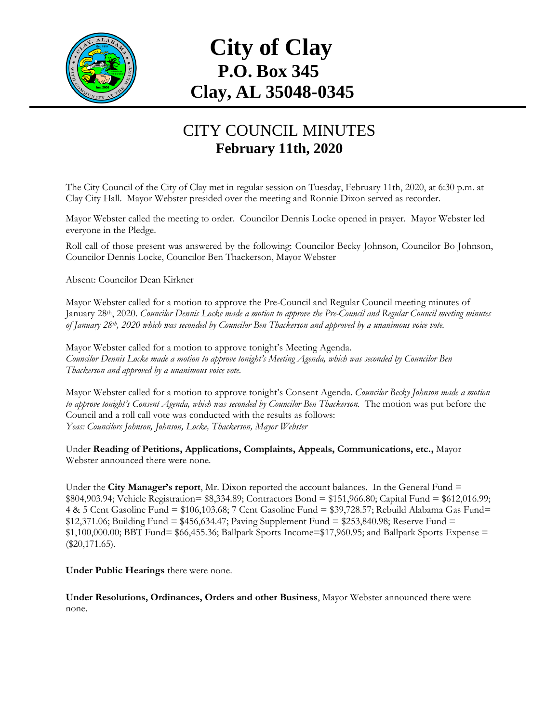

## **City of Clay P.O. Box 345 Clay, AL 35048-0345**

## CITY COUNCIL MINUTES **February 11th, 2020**

The City Council of the City of Clay met in regular session on Tuesday, February 11th, 2020, at 6:30 p.m. at Clay City Hall. Mayor Webster presided over the meeting and Ronnie Dixon served as recorder.

Mayor Webster called the meeting to order. Councilor Dennis Locke opened in prayer. Mayor Webster led everyone in the Pledge.

Roll call of those present was answered by the following: Councilor Becky Johnson, Councilor Bo Johnson, Councilor Dennis Locke, Councilor Ben Thackerson, Mayor Webster

Absent: Councilor Dean Kirkner

Mayor Webster called for a motion to approve the Pre-Council and Regular Council meeting minutes of January 28th, 2020. *Councilor Dennis Locke made a motion to approve the Pre-Council and Regular Council meeting minutes of January 28th, 2020 which was seconded by Councilor Ben Thackerson and approved by a unanimous voice vote.*

Mayor Webster called for a motion to approve tonight's Meeting Agenda. *Councilor Dennis Locke made a motion to approve tonight's Meeting Agenda, which was seconded by Councilor Ben Thackerson and approved by a unanimous voice vote.*

Mayor Webster called for a motion to approve tonight's Consent Agenda. *Councilor Becky Johnson made a motion to approve tonight's Consent Agenda, which was seconded by Councilor Ben Thackerson.* The motion was put before the Council and a roll call vote was conducted with the results as follows: *Yeas: Councilors Johnson, Johnson, Locke, Thackerson, Mayor Webster*

Under **Reading of Petitions, Applications, Complaints, Appeals, Communications, etc.,** Mayor Webster announced there were none.

Under the **City Manager's report**, Mr. Dixon reported the account balances. In the General Fund = \$804,903.94; Vehicle Registration= \$8,334.89; Contractors Bond = \$151,966.80; Capital Fund = \$612,016.99; 4 & 5 Cent Gasoline Fund = \$106,103.68; 7 Cent Gasoline Fund = \$39,728.57; Rebuild Alabama Gas Fund=  $$12,371.06$ ; Building Fund = \$456,634.47; Paving Supplement Fund = \$253,840.98; Reserve Fund =  $$1,100,000.00;$  BBT Fund=  $$66,455.36;$  Ballpark Sports Income= $$17,960.95;$  and Ballpark Sports Expense = (\$20,171.65).

**Under Public Hearings** there were none.

**Under Resolutions, Ordinances, Orders and other Business**, Mayor Webster announced there were none.